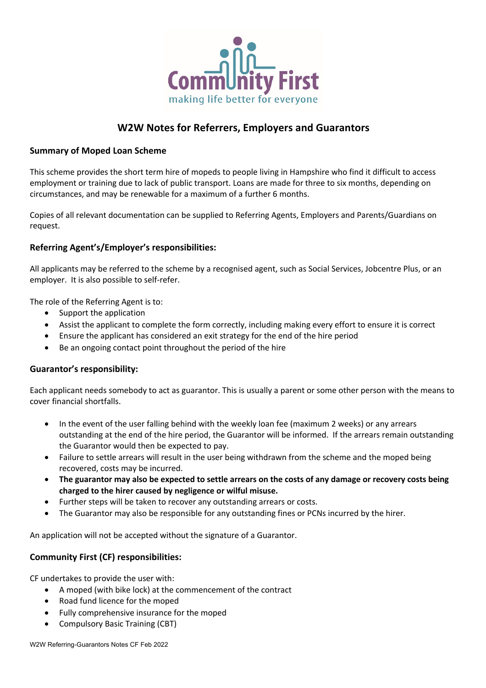

# **W2W Notes for Referrers, Employers and Guarantors**

## **Summary of Moped Loan Scheme**

This scheme provides the short term hire of mopeds to people living in Hampshire who find it difficult to access employment or training due to lack of public transport. Loans are made for three to six months, depending on circumstances, and may be renewable for a maximum of a further 6 months.

Copies of all relevant documentation can be supplied to Referring Agents, Employers and Parents/Guardians on request.

## **Referring Agent's/Employer's responsibilities:**

All applicants may be referred to the scheme by a recognised agent, such as Social Services, Jobcentre Plus, or an employer. It is also possible to self-refer.

The role of the Referring Agent is to:

- Support the application
- Assist the applicant to complete the form correctly, including making every effort to ensure it is correct
- Ensure the applicant has considered an exit strategy for the end of the hire period
- Be an ongoing contact point throughout the period of the hire

### **Guarantor's responsibility:**

Each applicant needs somebody to act as guarantor. This is usually a parent or some other person with the means to cover financial shortfalls.

- In the event of the user falling behind with the weekly loan fee (maximum 2 weeks) or any arrears outstanding at the end of the hire period, the Guarantor will be informed. If the arrears remain outstanding the Guarantor would then be expected to pay.
- Failure to settle arrears will result in the user being withdrawn from the scheme and the moped being recovered, costs may be incurred.
- **The guarantor may also be expected to settle arrears on the costs of any damage or recovery costs being charged to the hirer caused by negligence or wilful misuse.**
- Further steps will be taken to recover any outstanding arrears or costs.
- The Guarantor may also be responsible for any outstanding fines or PCNs incurred by the hirer.

An application will not be accepted without the signature of a Guarantor.

# **Community First (CF) responsibilities:**

CF undertakes to provide the user with:

- A moped (with bike lock) at the commencement of the contract
- Road fund licence for the moped
- Fully comprehensive insurance for the moped
- Compulsory Basic Training (CBT)